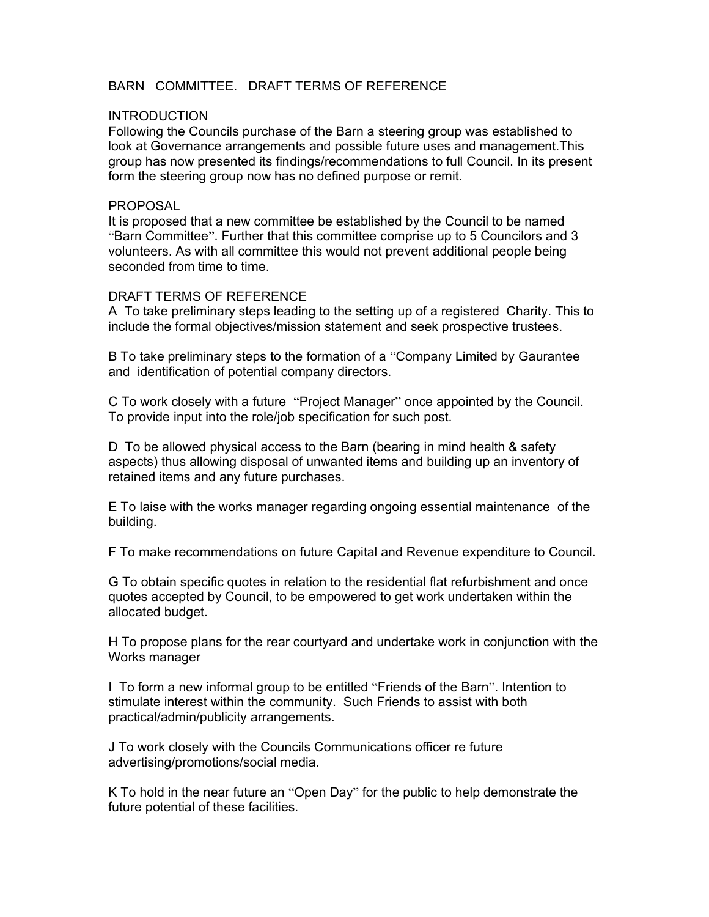# BARN COMMITTEE DRAFT TERMS OF REFERENCE

### **INTRODUCTION**

Following the Councils purchase of the Barn a steering group was established to look at Governance arrangements and possible future uses and management.This group has now presented its findings/recommendations to full Council. In its present form the steering group now has no defined purpose or remit.

#### PROPOSAL

It is proposed that a new committee be established by the Council to be named "Barn Committee". Further that this committee comprise up to 5 Councilors and 3 volunteers. As with all committee this would not prevent additional people being seconded from time to time.

#### DRAFT TERMS OF REFERENCE

A To take preliminary steps leading to the setting up of a registered Charity. This to include the formal objectives/mission statement and seek prospective trustees.

B To take preliminary steps to the formation of a "Company Limited by Gaurantee and identification of potential company directors.

C To work closely with a future "Project Manager" once appointed by the Council. To provide input into the role/job specification for such post.

D To be allowed physical access to the Barn (bearing in mind health & safety aspects) thus allowing disposal of unwanted items and building up an inventory of retained items and any future purchases.

E To laise with the works manager regarding ongoing essential maintenance of the building.

F To make recommendations on future Capital and Revenue expenditure to Council.

G To obtain specific quotes in relation to the residential flat refurbishment and once quotes accepted by Council, to be empowered to get work undertaken within the allocated budget.

H To propose plans for the rear courtyard and undertake work in conjunction with the Works manager

I To form a new informal group to be entitled "Friends of the Barn". Intention to stimulate interest within the community. Such Friends to assist with both practical/admin/publicity arrangements.

J To work closely with the Councils Communications officer re future advertising/promotions/social media.

K To hold in the near future an "Open Day" for the public to help demonstrate the future potential of these facilities.